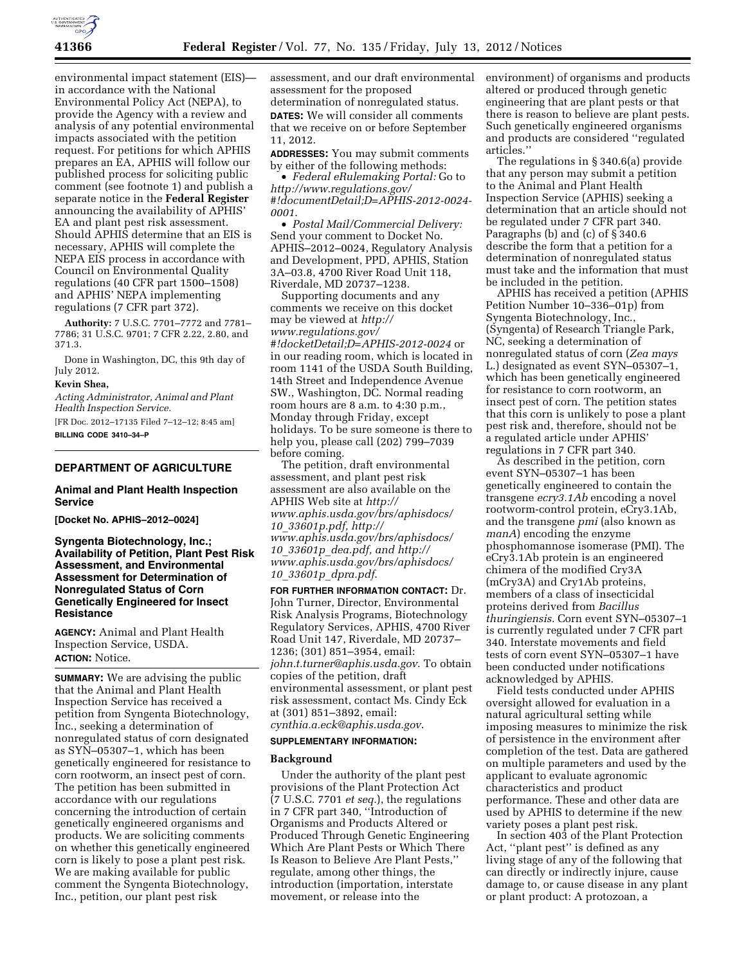

environmental impact statement (EIS) in accordance with the National Environmental Policy Act (NEPA), to provide the Agency with a review and analysis of any potential environmental impacts associated with the petition request. For petitions for which APHIS prepares an EA, APHIS will follow our published process for soliciting public comment (see footnote 1) and publish a separate notice in the **Federal Register**  announcing the availability of APHIS' EA and plant pest risk assessment. Should APHIS determine that an EIS is necessary, APHIS will complete the NEPA EIS process in accordance with Council on Environmental Quality regulations (40 CFR part 1500–1508) and APHIS' NEPA implementing regulations (7 CFR part 372).

**Authority:** 7 U.S.C. 7701–7772 and 7781– 7786; 31 U.S.C. 9701; 7 CFR 2.22, 2.80, and 371.3.

Done in Washington, DC, this 9th day of July 2012.

#### **Kevin Shea,**

*Acting Administrator, Animal and Plant Health Inspection Service.* 

[FR Doc. 2012–17135 Filed 7–12–12; 8:45 am] **BILLING CODE 3410–34–P** 

# **DEPARTMENT OF AGRICULTURE**

## **Animal and Plant Health Inspection Service**

**[Docket No. APHIS–2012–0024]** 

**Syngenta Biotechnology, Inc.; Availability of Petition, Plant Pest Risk Assessment, and Environmental Assessment for Determination of Nonregulated Status of Corn Genetically Engineered for Insect Resistance** 

**AGENCY:** Animal and Plant Health Inspection Service, USDA. **ACTION:** Notice.

**SUMMARY:** We are advising the public that the Animal and Plant Health Inspection Service has received a petition from Syngenta Biotechnology, Inc., seeking a determination of nonregulated status of corn designated as SYN–05307–1, which has been genetically engineered for resistance to corn rootworm, an insect pest of corn. The petition has been submitted in accordance with our regulations concerning the introduction of certain genetically engineered organisms and products. We are soliciting comments on whether this genetically engineered corn is likely to pose a plant pest risk. We are making available for public comment the Syngenta Biotechnology, Inc., petition, our plant pest risk

assessment, and our draft environmental assessment for the proposed determination of nonregulated status. **DATES:** We will consider all comments that we receive on or before September 11, 2012.

**ADDRESSES:** You may submit comments by either of the following methods:

• *Federal eRulemaking Portal:* Go to *[http://www.regulations.gov/](http://www.regulations.gov/#!documentDetail;D=APHIS-2012-0024-0001)  [#!documentDetail;D=APHIS-2012-0024-](http://www.regulations.gov/#!documentDetail;D=APHIS-2012-0024-0001) [0001](http://www.regulations.gov/#!documentDetail;D=APHIS-2012-0024-0001)*.

• *Postal Mail/Commercial Delivery:*  Send your comment to Docket No. APHIS–2012–0024, Regulatory Analysis and Development, PPD, APHIS, Station 3A–03.8, 4700 River Road Unit 118, Riverdale, MD 20737–1238.

Supporting documents and any comments we receive on this docket may be viewed at *[http://](http://www.regulations.gov/#!docketDetail;D=APHIS-2012-0024)  [www.regulations.gov/](http://www.regulations.gov/#!docketDetail;D=APHIS-2012-0024) [#!docketDetail;D=APHIS-2012-0024](http://www.regulations.gov/#!docketDetail;D=APHIS-2012-0024)* or in our reading room, which is located in room 1141 of the USDA South Building, 14th Street and Independence Avenue SW., Washington, DC. Normal reading room hours are 8 a.m. to 4:30 p.m., Monday through Friday, except holidays. To be sure someone is there to help you, please call (202) 799–7039 before coming.

The petition, draft environmental assessment, and plant pest risk assessment are also available on the APHIS Web site at *[http://](http://www.aphis.usda.gov/brs/aphisdocs/10_33601p.pdf)  [www.aphis.usda.gov/brs/aphisdocs/](http://www.aphis.usda.gov/brs/aphisdocs/10_33601p.pdf)  10*\_*[33601p.pdf,](http://www.aphis.usda.gov/brs/aphisdocs/10_33601p.pdf) [http://](http://www.aphis.usda.gov/brs/aphisdocs/10_33601p_dea.pdf)  [www.aphis.usda.gov/brs/aphisdocs/](http://www.aphis.usda.gov/brs/aphisdocs/10_33601p_dea.pdf)  10*\_*33601p*\_*[dea.pdf](http://www.aphis.usda.gov/brs/aphisdocs/10_33601p_dea.pdf), and [http://](http://www.aphis.usda.gov/brs/aphisdocs/10_33601p_dpra.pdf)  [www.aphis.usda.gov/brs/aphisdocs/](http://www.aphis.usda.gov/brs/aphisdocs/10_33601p_dpra.pdf)  10*\_*33601p*\_*[dpra.pdf](http://www.aphis.usda.gov/brs/aphisdocs/10_33601p_dpra.pdf)*.

**FOR FURTHER INFORMATION CONTACT:** Dr. John Turner, Director, Environmental Risk Analysis Programs, Biotechnology Regulatory Services, APHIS, 4700 River Road Unit 147, Riverdale, MD 20737– 1236; (301) 851–3954, email: *[john.t.turner@aphis.usda.gov](mailto:john.t.turner@aphis.usda.gov)*. To obtain copies of the petition, draft environmental assessment, or plant pest risk assessment, contact Ms. Cindy Eck at (301) 851–3892, email: *[cynthia.a.eck@aphis.usda.gov](mailto:cynthia.a.eck@aphis.usda.gov)*.

# **SUPPLEMENTARY INFORMATION:**

# **Background**

Under the authority of the plant pest provisions of the Plant Protection Act (7 U.S.C. 7701 *et seq.*), the regulations in 7 CFR part 340, ''Introduction of Organisms and Products Altered or Produced Through Genetic Engineering Which Are Plant Pests or Which There Is Reason to Believe Are Plant Pests,'' regulate, among other things, the introduction (importation, interstate movement, or release into the

environment) of organisms and products altered or produced through genetic engineering that are plant pests or that there is reason to believe are plant pests. Such genetically engineered organisms and products are considered ''regulated articles.''

The regulations in § 340.6(a) provide that any person may submit a petition to the Animal and Plant Health Inspection Service (APHIS) seeking a determination that an article should not be regulated under 7 CFR part 340. Paragraphs (b) and (c) of § 340.6 describe the form that a petition for a determination of nonregulated status must take and the information that must be included in the petition.

APHIS has received a petition (APHIS Petition Number 10–336–01p) from Syngenta Biotechnology, Inc., (Syngenta) of Research Triangle Park, NC, seeking a determination of nonregulated status of corn (*Zea mays*  L.) designated as event SYN–05307–1, which has been genetically engineered for resistance to corn rootworm, an insect pest of corn. The petition states that this corn is unlikely to pose a plant pest risk and, therefore, should not be a regulated article under APHIS' regulations in 7 CFR part 340.

As described in the petition, corn event SYN–05307–1 has been genetically engineered to contain the transgene *ecry3.1Ab* encoding a novel rootworm-control protein, eCry3.1Ab, and the transgene *pmi* (also known as *manA*) encoding the enzyme phosphomannose isomerase (PMI). The eCry3.1Ab protein is an engineered chimera of the modified Cry3A (mCry3A) and Cry1Ab proteins, members of a class of insecticidal proteins derived from *Bacillus thuringiensis.* Corn event SYN–05307–1 is currently regulated under 7 CFR part 340. Interstate movements and field tests of corn event SYN–05307–1 have been conducted under notifications acknowledged by APHIS.

Field tests conducted under APHIS oversight allowed for evaluation in a natural agricultural setting while imposing measures to minimize the risk of persistence in the environment after completion of the test. Data are gathered on multiple parameters and used by the applicant to evaluate agronomic characteristics and product performance. These and other data are used by APHIS to determine if the new variety poses a plant pest risk.

In section 403 of the Plant Protection Act, ''plant pest'' is defined as any living stage of any of the following that can directly or indirectly injure, cause damage to, or cause disease in any plant or plant product: A protozoan, a